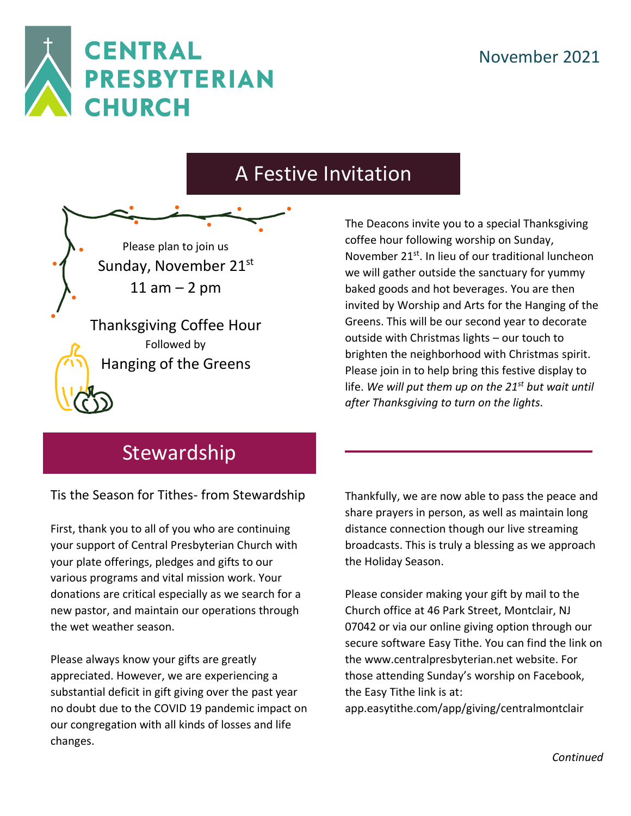

## A Festive Invitation

Please plan to join us Sunday, November 21st  $11$  am  $-$  2 pm

Thanksgiving Coffee Hour Followed by Hanging of the Greens

The Deacons invite you to a special Thanksgiving coffee hour following worship on Sunday, November 21<sup>st</sup>. In lieu of our traditional luncheon we will gather outside the sanctuary for yummy baked goods and hot beverages. You are then invited by Worship and Arts for the Hanging of the Greens. This will be our second year to decorate outside with Christmas lights – our touch to brighten the neighborhood with Christmas spirit. Please join in to help bring this festive display to life. *We will put them up on the 21st but wait until after Thanksgiving to turn on the lights.*

## **Stewardship**

Tis the Season for Tithes- from Stewardship

First, thank you to all of you who are continuing your support of Central Presbyterian Church with your plate offerings, pledges and gifts to our various programs and vital mission work. Your donations are critical especially as we search for a new pastor, and maintain our operations through the wet weather season.

Please always know your gifts are greatly appreciated. However, we are experiencing a substantial deficit in gift giving over the past year no doubt due to the COVID 19 pandemic impact on our congregation with all kinds of losses and life changes.

Thankfully, we are now able to pass the peace and share prayers in person, as well as maintain long distance connection though our live streaming broadcasts. This is truly a blessing as we approach the Holiday Season.

Please consider making your gift by mail to the Church office at 46 Park Street, Montclair, NJ 07042 or via our online giving option through our secure software Easy Tithe. You can find the link on th[e www.centralpresbyterian.net](https://www.centralpresbyterian.net/) website. For those attending Sunday's worship on Facebook, the Easy Tithe link is at:

[app.easytithe.com/app/giving/centralmontclair](https://app.easytithe.com/app/giving/centralmontclair)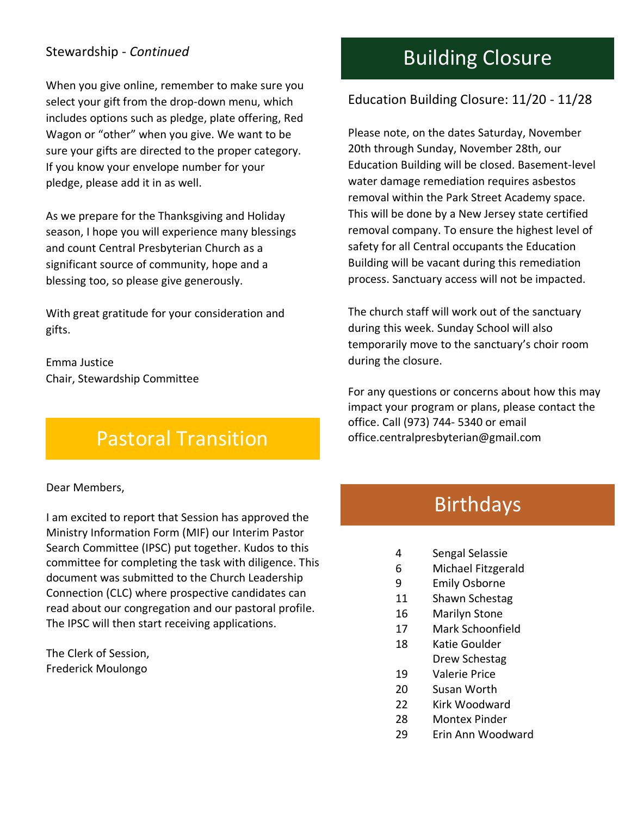#### Stewardship - *Continued*

When you give online, remember to make sure you select your gift from the drop-down menu, which includes options such as pledge, plate offering, Red Wagon or "other" when you give. We want to be sure your gifts are directed to the proper category. If you know your envelope number for your pledge, please add it in as well.

As we prepare for the Thanksgiving and Holiday season, I hope you will experience many blessings and count Central Presbyterian Church as a significant source of community, hope and a blessing too, so please give generously.

With great gratitude for your consideration and gifts.

Emma Justice Chair, Stewardship Committee

## Pastoral Transition

Dear Members,

I am excited to report that Session has approved the Ministry Information Form (MIF) our Interim Pastor Search Committee (IPSC) put together. Kudos to this committee for completing the task with diligence. This document was submitted to the Church Leadership Connection (CLC) where prospective candidates can read about our congregation and our pastoral profile. The IPSC will then start receiving applications.

The Clerk of Session, Frederick Moulongo

## Building Closure

#### Education Building Closure: 11/20 - 11/28

Please note, on the dates Saturday, November 20th through Sunday, November 28th, our Education Building will be closed. Basement-level water damage remediation requires asbestos removal within the Park Street Academy space. This will be done by a New Jersey state certified removal company. To ensure the highest level of safety for all Central occupants the Education Building will be vacant during this remediation process. Sanctuary access will not be impacted.

The church staff will work out of the sanctuary during this week. Sunday School will also temporarily move to the sanctuary's choir room during the closure.

For any questions or concerns about how this may impact your program or plans, please contact the office. Call (973) 744- 5340 or email office.centralpresbyterian@gmail.com

## Birthdays

- 4 Sengal Selassie
- 6 Michael Fitzgerald
- 9 Emily Osborne
- 11 Shawn Schestag
- 16 Marilyn Stone
- 17 Mark Schoonfield
- 18 Katie Goulder Drew Schestag
- 19 Valerie Price
- 20 Susan Worth
- 22 Kirk Woodward
- 28 Montex Pinder
- 29 Erin Ann Woodward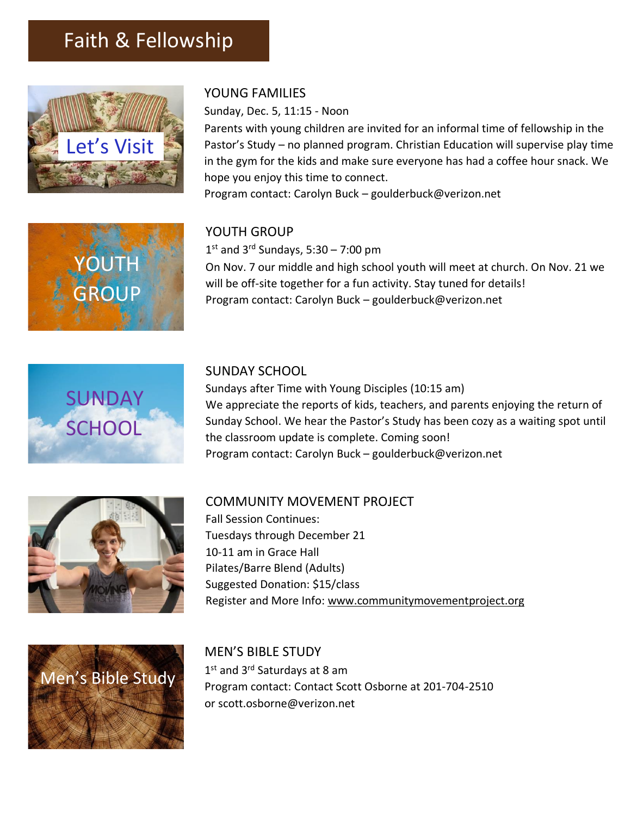## Faith & Fellowship



#### YOUNG FAMILIES

Sunday, Dec. 5, 11:15 - Noon

Parents with young children are invited for an informal time of fellowship in the Pastor's Study – no planned program. Christian Education will supervise play time in the gym for the kids and make sure everyone has had a coffee hour snack. We hope you enjoy this time to connect. Program contact: Carolyn Buck – goulderbuck@verizon.net



#### YOUTH GROUP

1 st and 3rd Sundays, 5:30 – 7:00 pm On Nov. 7 our middle and high school youth will meet at church. On Nov. 21 we will be off-site together for a fun activity. Stay tuned for details! Program contact: Carolyn Buck – goulderbuck@verizon.net



#### SUNDAY SCHOOL

Sundays after Time with Young Disciples (10:15 am) We appreciate the reports of kids, teachers, and parents enjoying the return of Sunday School. We hear the Pastor's Study has been cozy as a waiting spot until the classroom update is complete. Coming soon! Program contact: Carolyn Buck – goulderbuck@verizon.net



#### COMMUNITY MOVEMENT PROJECT

Fall Session Continues: Tuesdays through December 21 10-11 am in Grace Hall Pilates/Barre Blend (Adults) Suggested Donation: \$15/class Register and More Info: [www.communitymovementproject.org](http://www.communitymovementproject.org/)



MEN'S BIBLE STUDY 1st and 3<sup>rd</sup> Saturdays at 8 am Program contact: Contact Scott Osborne at 201-704-2510 or [scott.osborne@verizon.net](mailto:scott.osborne@verizon.net)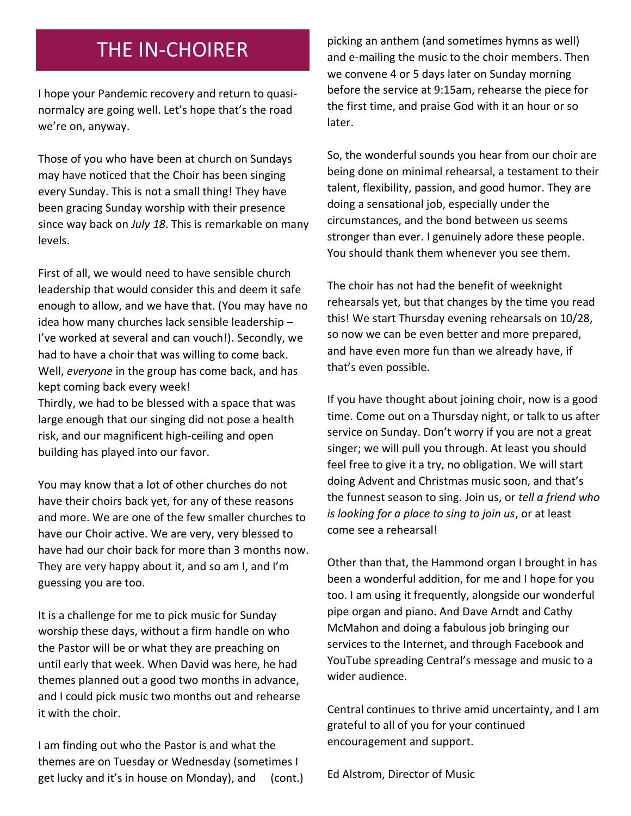### THE IN-CHOIRER

I hope your Pandemic recovery and return to quasinormalcy are going well. Let's hope that's the road we're on, anyway.

Those of you who have been at church on Sundays may have noticed that the Choir has been singing every Sunday. This is not a small thing! They have been gracing Sunday worship with their presence since way back on *July 18*. This is remarkable on many levels.

First of all, we would need to have sensible church leadership that would consider this and deem it safe enough to allow, and we have that. (You may have no idea how many churches lack sensible leadership – I've worked at several and can vouch!). Secondly, we had to have a choir that was willing to come back. Well, *everyone* in the group has come back, and has kept coming back every week! Thirdly, we had to be blessed with a space that was

large enough that our singing did not pose a health risk, and our magnificent high-ceiling and open building has played into our favor.

You may know that a lot of other churches do not have their choirs back yet, for any of these reasons and more. We are one of the few smaller churches to have our Choir active. We are very, very blessed to have had our choir back for more than 3 months now. They are very happy about it, and so am I, and I'm guessing you are too.

It is a challenge for me to pick music for Sunday worship these days, without a firm handle on who the Pastor will be or what they are preaching on until early that week. When David was here, he had themes planned out a good two months in advance, and I could pick music two months out and rehearse it with the choir.

I am finding out who the Pastor is and what the themes are on Tuesday or Wednesday (sometimes I get lucky and it's in house on Monday), and (cont.) picking an anthem (and sometimes hymns as well) and e-mailing the music to the choir members. Then we convene 4 or 5 days later on Sunday morning before the service at 9:15am, rehearse the piece for the first time, and praise God with it an hour or so later.

So, the wonderful sounds you hear from our choir are being done on minimal rehearsal, a testament to their talent, flexibility, passion, and good humor. They are doing a sensational job, especially under the circumstances, and the bond between us seems stronger than ever. I genuinely adore these people. You should thank them whenever you see them.

The choir has not had the benefit of weeknight rehearsals yet, but that changes by the time you read this! We start Thursday evening rehearsals on 10/28, so now we can be even better and more prepared, and have even more fun than we already have, if that's even possible.

If you have thought about joining choir, now is a good time. Come out on a Thursday night, or talk to us after service on Sunday. Don't worry if you are not a great singer; we will pull you through. At least you should feel free to give it a try, no obligation. We will start doing Advent and Christmas music soon, and that's the funnest season to sing. Join us, or *tell a friend who is looking for a place to sing to join us*, or at least come see a rehearsal!

Other than that, the Hammond organ I brought in has been a wonderful addition, for me and I hope for you too. I am using it frequently, alongside our wonderful pipe organ and piano. And Dave Arndt and Cathy McMahon and doing a fabulous job bringing our services to the Internet, and through Facebook and YouTube spreading Central's message and music to a wider audience.

Central continues to thrive amid uncertainty, and I am grateful to all of you for your continued encouragement and support.

Ed Alstrom, Director of Music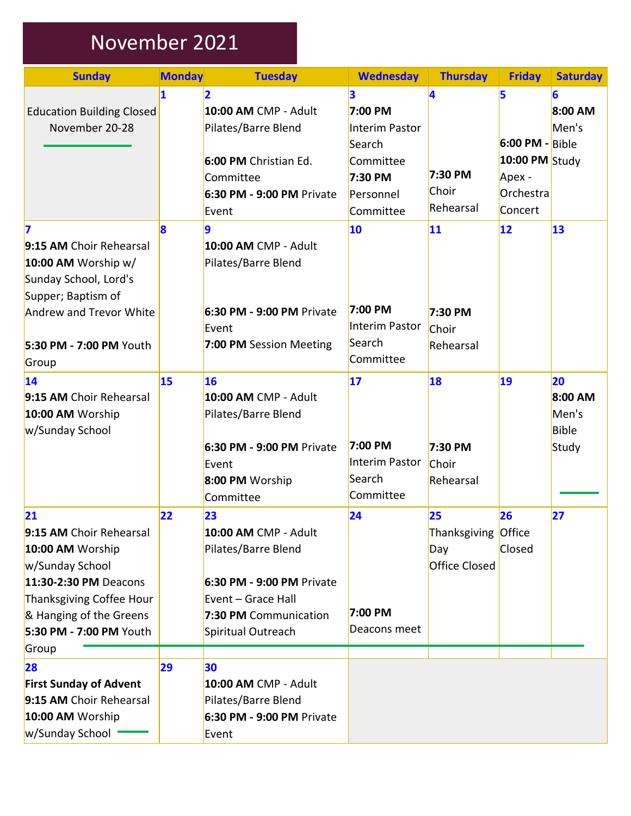# November 2021

| <b>Sunday</b>                                                                                                                                                                            | <b>Monday</b> | <b>Tuesday</b>                                                                                                                                      | <b>Wednesday</b>                                                                                  | <b>Thursday</b>                                   | <b>Friday</b>                                                              | <b>Saturday</b>                                 |
|------------------------------------------------------------------------------------------------------------------------------------------------------------------------------------------|---------------|-----------------------------------------------------------------------------------------------------------------------------------------------------|---------------------------------------------------------------------------------------------------|---------------------------------------------------|----------------------------------------------------------------------------|-------------------------------------------------|
| <b>Education Building Closed</b><br>November 20-28                                                                                                                                       | 1             | $\mathbf{2}$<br>10:00 AM CMP - Adult<br>Pilates/Barre Blend<br>6:00 PM Christian Ed.<br>Committee<br>6:30 PM - 9:00 PM Private<br>Event             | 3<br>7:00 PM<br><b>Interim Pastor</b><br>Search<br>Committee<br>7:30 PM<br>Personnel<br>Committee | 4<br>7:30 PM<br>Choir<br>Rehearsal                | 5<br>$6:00$ PM - Bible<br>10:00 PM Study<br>Apex -<br>Orchestra<br>Concert | 6<br>8:00 AM<br>Men's                           |
| 7<br>9:15 AM Choir Rehearsal<br>10:00 AM Worship w/<br>Sunday School, Lord's<br>Supper; Baptism of<br>Andrew and Trevor White<br>5:30 PM - 7:00 PM Youth<br>Group                        | 8             | 9<br><b>10:00 AM CMP - Adult</b><br>Pilates/Barre Blend<br>6:30 PM - 9:00 PM Private<br>Event<br>7:00 PM Session Meeting                            | 10<br>7:00 PM<br>Interim Pastor<br>Search<br>Committee                                            | 11<br>7:30 PM<br>Choir<br>Rehearsal               | $ 12\rangle$                                                               | $\overline{13}$                                 |
| 14<br>9:15 AM Choir Rehearsal<br>10:00 AM Worship<br>w/Sunday School                                                                                                                     | 15            | 16<br>10:00 AM CMP - Adult<br>Pilates/Barre Blend<br>6:30 PM - 9:00 PM Private<br>Event<br>8:00 PM Worship<br>Committee                             | 17<br>7:00 PM<br>Interim Pastor<br>Search<br>Committee                                            | 18<br>7:30 PM<br>Choir<br>Rehearsal               | 19                                                                         | 20<br>8:00 AM<br>Men's<br><b>Bible</b><br>Study |
| 21<br>9:15 AM Choir Rehearsal<br>10:00 AM Worship<br>w/Sunday School<br>11:30-2:30 PM Deacons<br>Thanksgiving Coffee Hour<br>& Hanging of the Greens<br>5:30 PM - 7:00 PM Youth<br>Group | 22            | 23<br>10:00 AM CMP - Adult<br>Pilates/Barre Blend<br>6:30 PM - 9:00 PM Private<br>Event - Grace Hall<br>7:30 PM Communication<br>Spiritual Outreach | 24<br>7:00 PM<br>Deacons meet                                                                     | 25<br>Thanksgiving Office<br>Day<br>Office Closed | 26<br>Closed                                                               | 27                                              |
| 28<br><b>First Sunday of Advent</b><br>9:15 AM Choir Rehearsal<br>10:00 AM Worship<br>w/Sunday School                                                                                    | 29            | 30<br>10:00 AM CMP - Adult<br>Pilates/Barre Blend<br>6:30 PM - 9:00 PM Private<br>Event                                                             |                                                                                                   |                                                   |                                                                            |                                                 |